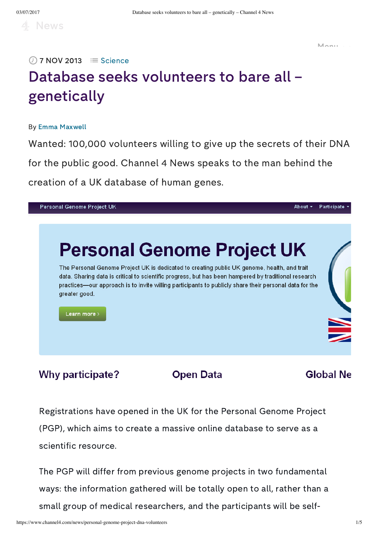Menu

# Database seeks volunteers to bare all – genetically  $\overline{O}$  7 NOV 2013  $\equiv$  [Science](https://www.channel4.com/news/science)

#### By Emma [Maxwell](https://www.channel4.com/news/by/emma-maxwell)

Wanted: 100,000 volunteers willing to give up the secrets of their DNA for the public good. Channel 4 News speaks to the man behind the creation of a UK database of human genes.



**Why participate?** 

**Open Data** 

#### **Global Ne**

Registrations have opened in the UK for the Personal Genome Project (PGP), which aims to create a massive online database to serve as a scientific resource.

The PGP will differ from previous genome projects in two fundamental ways: the information gathered will be totally open to all, rather than a small group of medical researchers, and the participants will be self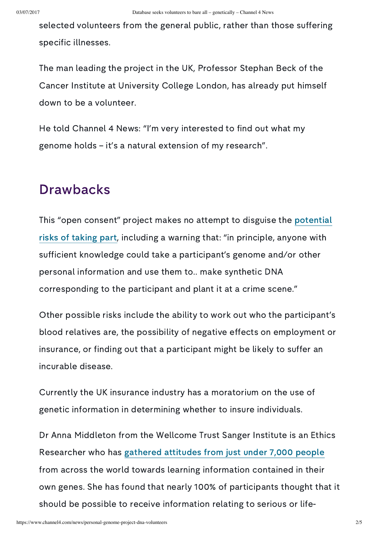selected volunteers from the general public, rather than those suffering specific illnesses.

The man leading the project in the UK, Professor Stephan Beck of the Cancer Institute at University College London, has already put himself down to be a volunteer.

He told Channel 4 News: "I'm very interested to find out what my genome holds – it's a natural extension of my research".

## **Drawbacks**

This "open consent" project makes no attempt to disguise the potential risks of taking part, including a warning that: "in [principle,](http://www.personalgenomes.org.uk/risks-benefits) anyone with sufficient knowledge could take a participant's genome and/or other personal information and use them to.. make synthetic DNA corresponding to the participant and plant it at a crime scene."

Other possible risks include the ability to work out who the participant's blood relatives are, the possibility of negative effects on employment or insurance, or finding out that a participant might be likely to suffer an incurable disease.

Currently the UK insurance industry has a moratorium on the use of genetic information in determining whether to insure individuals.

Dr Anna Middleton from the Wellcome Trust Sanger Institute is an Ethics Researcher who has [gathered](http://www.sanger.ac.uk/about/press/2012/120131.html) attitudes from just under 7,000 people from across the world towards learning information contained in their own genes. She has found that nearly 100% of participants thought that it should be possible to receive information relating to serious or life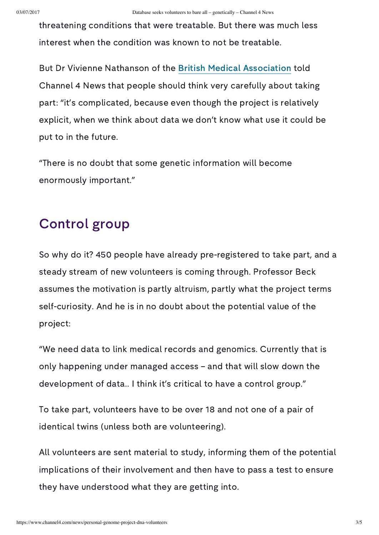threatening conditions that were treatable. But there was much less interest when the condition was known to not be treatable.

But Dr Vivienne Nathanson of the British Medical [Association](http://bma.org.uk/) told Channel 4 News that people should think very carefully about taking part: "it's complicated, because even though the project is relatively explicit, when we think about data we don't know what use it could be put to in the future.

"There is no doubt that some genetic information will become enormously important."

# Control group

So why do it? 450 people have already pre-registered to take part, and a steady stream of new volunteers is coming through. Professor Beck assumes the motivation is partly altruism, partly what the project terms self-curiosity. And he is in no doubt about the potential value of the project:

"We need data to link medical records and genomics. Currently that is only happening under managed access – and that will slow down the development of data.. I think it's critical to have a control group."

To take part, volunteers have to be over 18 and not one of a pair of identical twins (unless both are volunteering).

All volunteers are sent material to study, informing them of the potential implications of their involvement and then have to pass a test to ensure they have understood what they are getting into.